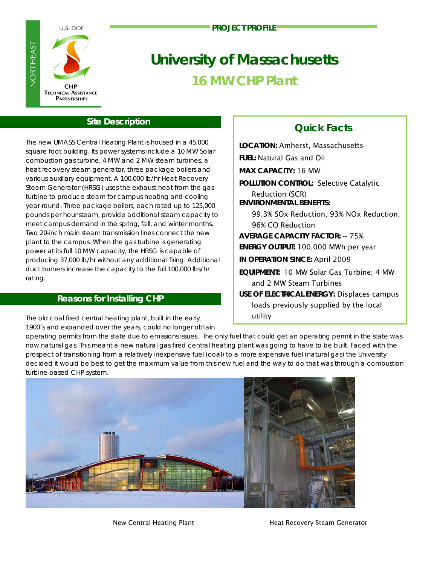U.S. DOE

**PROJECT PROFILE**



# **University of Massachusetts 16 MW CHP Plant**

## **Site Description**

The new UMASS Central Heating Plant is housed in a 45,000 square foot building. Its power systems include a 10 MW Solar combustion gas turbine, 4 MW and 2 MW steam turbines, a heat recovery steam generator, three package boilers and various auxiliary equipment. A 100,000 lb/hr Heat Recovery Steam Generator (HRSG) uses the exhaust heat from the gas turbine to produce steam for campus heating and cooling year-round. Three package boilers, each rated up to 125,000 pounds per hour steam, provide additional steam capacity to meet campus demand in the spring, fall, and winter months. Two 20-inch main steam transmission lines connect the new plant to the campus. When the gas turbine is generating power at its full 10 MW capacity, the HRSG is capable of producing 37,000 lb/hr without any additional firing. Additional duct burners increase the capacity to the full 100,000 lbs/hr rating.

## **Reasons for Installing CHP**

The old coal fired central heating plant, built in the early 1900's and expanded over the years, could no longer obtain

# **Quick Facts**

**LOCATION:** Amherst, Massachusetts **FUEL:** Natural Gas and Oil **MAX CAPACITY:** 16 MW **POLLUTION CONTROL:** Selective Catalytic Reduction (SCR) **ENVIRONMENTAL BENEFITS:** 99.3% SOx Reduction, 93% NOx Reduction, 96% CO Reduction **AVERAGE CAPACITY FACTOR:** ~ 75% **ENERGY OUTPUT:** 100,000 MWh per year **IN OPERATION SINCE:** April 2009 **EQUIPMENT:** 10 MW Solar Gas Turbine; 4 MW and 2 MW Steam Turbines **USE OF ELECTRICAL ENERGY:** Displaces campus loads previously supplied by the local utility

operating permits from the state due to emissions issues. The only fuel that could get an operating permit in the state was now natural gas. This meant a new natural gas fired central heating plant was going to have to be built. Faced with the prospect of transitioning from a relatively inexpensive fuel (coal) to a more expensive fuel (natural gas) the University decided it would be best to get the maximum value from this new fuel and the way to do that was through a combustion turbine based CHP system.



New Central Heating Plant **Heating Bland Control** Heat Recovery Steam Generator